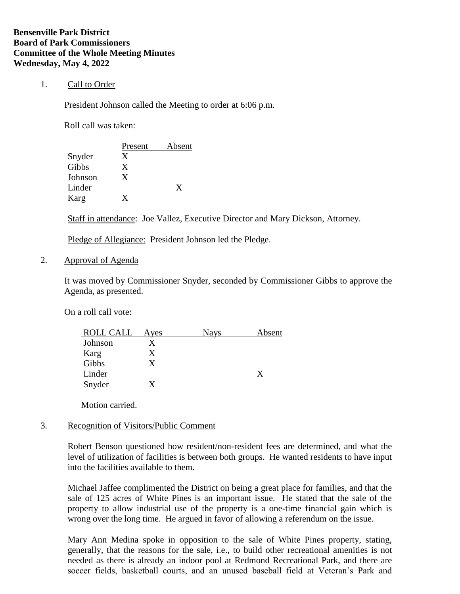## 1. Call to Order

President Johnson called the Meeting to order at 6:06 p.m.

Roll call was taken:

|         | Present | Absent |
|---------|---------|--------|
| Snyder  | X       |        |
| Gibbs   | X       |        |
| Johnson | X       |        |
| Linder  |         | X      |
| Karg    |         |        |

Staff in attendance: Joe Vallez, Executive Director and Mary Dickson, Attorney.

Pledge of Allegiance: President Johnson led the Pledge.

2. Approval of Agenda

It was moved by Commissioner Snyder, seconded by Commissioner Gibbs to approve the Agenda, as presented.

On a roll call vote:

Motion carried.

## 3. Recognition of Visitors/Public Comment

Robert Benson questioned how resident/non-resident fees are determined, and what the level of utilization of facilities is between both groups. He wanted residents to have input into the facilities available to them.

Michael Jaffee complimented the District on being a great place for families, and that the sale of 125 acres of White Pines is an important issue. He stated that the sale of the property to allow industrial use of the property is a one-time financial gain which is wrong over the long time. He argued in favor of allowing a referendum on the issue.

Mary Ann Medina spoke in opposition to the sale of White Pines property, stating, generally, that the reasons for the sale, i.e., to build other recreational amenities is not needed as there is already an indoor pool at Redmond Recreational Park, and there are soccer fields, basketball courts, and an unused baseball field at Veteran's Park and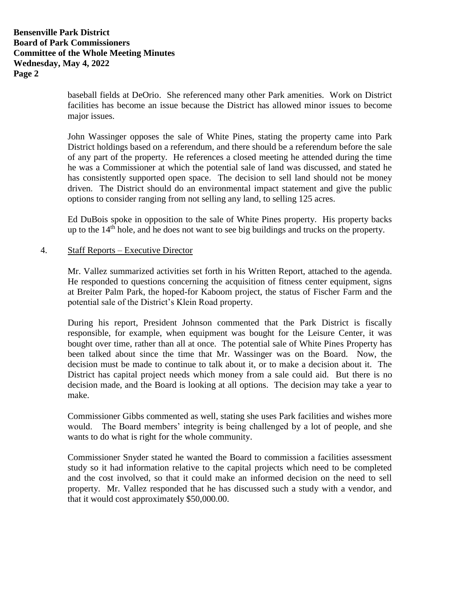baseball fields at DeOrio. She referenced many other Park amenities. Work on District facilities has become an issue because the District has allowed minor issues to become major issues.

John Wassinger opposes the sale of White Pines, stating the property came into Park District holdings based on a referendum, and there should be a referendum before the sale of any part of the property. He references a closed meeting he attended during the time he was a Commissioner at which the potential sale of land was discussed, and stated he has consistently supported open space. The decision to sell land should not be money driven. The District should do an environmental impact statement and give the public options to consider ranging from not selling any land, to selling 125 acres.

Ed DuBois spoke in opposition to the sale of White Pines property. His property backs up to the  $14<sup>th</sup>$  hole, and he does not want to see big buildings and trucks on the property.

## 4. Staff Reports – Executive Director

Mr. Vallez summarized activities set forth in his Written Report, attached to the agenda. He responded to questions concerning the acquisition of fitness center equipment, signs at Breiter Palm Park, the hoped-for Kaboom project, the status of Fischer Farm and the potential sale of the District's Klein Road property.

During his report, President Johnson commented that the Park District is fiscally responsible, for example, when equipment was bought for the Leisure Center, it was bought over time, rather than all at once. The potential sale of White Pines Property has been talked about since the time that Mr. Wassinger was on the Board. Now, the decision must be made to continue to talk about it, or to make a decision about it. The District has capital project needs which money from a sale could aid. But there is no decision made, and the Board is looking at all options. The decision may take a year to make.

Commissioner Gibbs commented as well, stating she uses Park facilities and wishes more would. The Board members' integrity is being challenged by a lot of people, and she wants to do what is right for the whole community.

Commissioner Snyder stated he wanted the Board to commission a facilities assessment study so it had information relative to the capital projects which need to be completed and the cost involved, so that it could make an informed decision on the need to sell property. Mr. Vallez responded that he has discussed such a study with a vendor, and that it would cost approximately \$50,000.00.